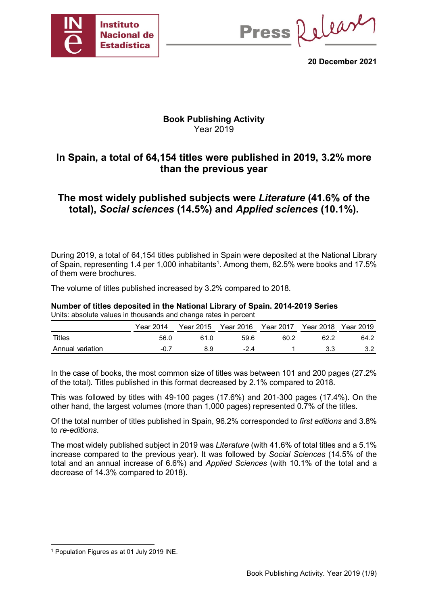

Press Release

**20 December 2021**

# **Book Publishing Activity** Year 2019

# **In Spain, a total of 64,154 titles were published in 2019, 3.2% more than the previous year**

# **The most widely published subjects were** *Literature* **(41.6% of the total),** *Social sciences* **(14.5%) and** *Applied sciences* **(10.1%).**

During 2019, a total of 64,154 titles published in Spain were deposited at the National Library of Spain, representing 1.4 per 1,000 inhabitants<sup>1</sup>. Among them, 82.5% were books and 17.5% of them were brochures.

The volume of titles published increased by 3.2% compared to 2018.

**Number of titles deposited in the National Library of Spain. 2014-2019 Series** Units: absolute values in thousands and change rates in percent

|                  | <b>Year 2014</b> | Year 2015 | Year 2016 | <b>Year 2017</b> | Year 2018 Year 2019 |      |
|------------------|------------------|-----------|-----------|------------------|---------------------|------|
| Titles           | 56.0             | 61 N      | 59.6      | 60.2             | 62.2                | 64.2 |
| Annual variation | -0.7             | 89        | -24       |                  | 3.3                 |      |

In the case of books, the most common size of titles was between 101 and 200 pages (27.2% of the total). Titles published in this format decreased by 2.1% compared to 2018.

This was followed by titles with 49-100 pages (17.6%) and 201-300 pages (17.4%). On the other hand, the largest volumes (more than 1,000 pages) represented 0.7% of the titles.

Of the total number of titles published in Spain, 96.2% corresponded to *first editions* and 3.8% to *re-editions*.

The most widely published subject in 2019 was *Literature* (with 41.6% of total titles and a 5.1% increase compared to the previous year). It was followed by *Social Sciences* (14.5% of the total and an annual increase of 6.6%) and *Applied Sciences* (with 10.1% of the total and a decrease of 14.3% compared to 2018).

 <sup>1</sup> Population Figures as at 01 July 2019 INE.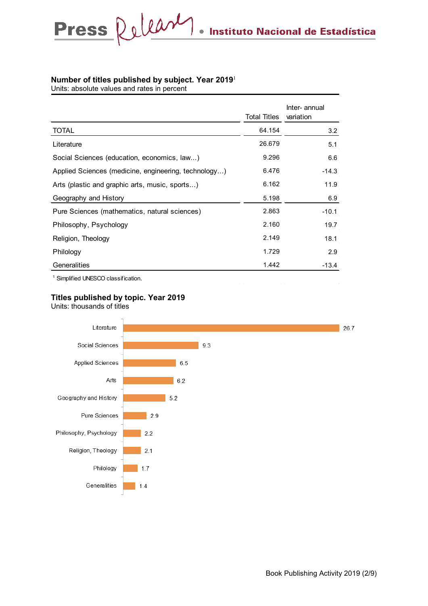#### **Number of titles published by subject. Year 2019**<sup>1</sup>

Units: absolute values and rates in percent

Press Relear

|                                                      | <b>Total Titles</b> | Inter- annual<br>variation |
|------------------------------------------------------|---------------------|----------------------------|
| <b>TOTAL</b>                                         | 64.154              | 3.2                        |
| Literature                                           | 26.679              | 5.1                        |
| Social Sciences (education, economics, law)          | 9.296               | 6.6                        |
| Applied Sciences (medicine, engineering, technology) | 6.476               | $-14.3$                    |
| Arts (plastic and graphic arts, music, sports)       | 6.162               | 11.9                       |
| Geography and History                                | 5.198               | 6.9                        |
| Pure Sciences (mathematics, natural sciences)        | 2.863               | $-10.1$                    |
| Philosophy, Psychology                               | 2.160               | 19.7                       |
| Religion, Theology                                   | 2.149               | 18.1                       |
| Philology                                            | 1.729               | 2.9                        |
| Generalities                                         | 1.442               | $-13.4$                    |
|                                                      |                     |                            |

 $\bullet$ 

1 Simplified UNESCO classification.

#### **Titles published by topic. Year 2019**

Units: thousands of titles

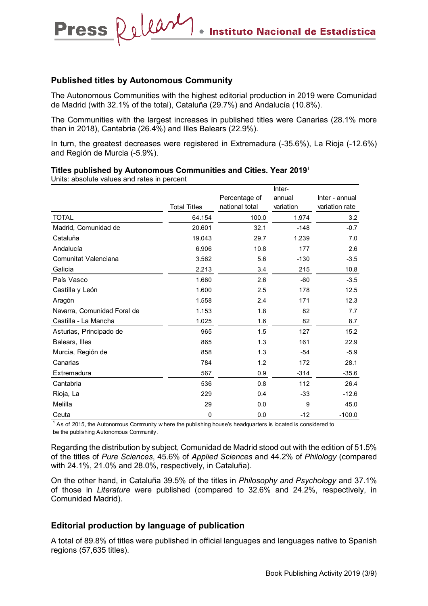#### **Published titles by Autonomous Community**

Press Release

The Autonomous Communities with the highest editorial production in 2019 were Comunidad de Madrid (with 32.1% of the total), Cataluña (29.7%) and Andalucía (10.8%).

The Communities with the largest increases in published titles were Canarias (28.1% more than in 2018), Cantabria (26.4%) and Illes Balears (22.9%).

In turn, the greatest decreases were registered in Extremadura (-35.6%), La Rioja (-12.6%) and Región de Murcia (-5.9%).

|                             |                     |                                 | Inter-              |                                  |
|-----------------------------|---------------------|---------------------------------|---------------------|----------------------------------|
|                             | <b>Total Titles</b> | Percentage of<br>national total | annual<br>variation | Inter - annual<br>variation rate |
| <b>TOTAL</b>                | 64.154              | 100.0                           | 1.974               | 3.2                              |
| Madrid, Comunidad de        | 20.601              | 32.1                            | $-148$              | $-0.7$                           |
| Cataluña                    | 19.043              | 29.7                            | 1.239               | 7.0                              |
| Andalucía                   | 6.906               | 10.8                            | 177                 | 2.6                              |
| Comunitat Valenciana        | 3.562               | 5.6                             | $-130$              | $-3.5$                           |
| Galicia                     | 2.213               | 3.4                             | 215                 | 10.8                             |
| País Vasco                  | 1.660               | 2.6                             | $-60$               | $-3.5$                           |
| Castilla y León             | 1.600               | 2.5                             | 178                 | 12.5                             |
| Aragón                      | 1.558               | 2.4                             | 171                 | 12.3                             |
| Navarra, Comunidad Foral de | 1.153               | 1.8                             | 82                  | 7.7                              |
| Castilla - La Mancha        | 1.025               | 1.6                             | 82                  | 8.7                              |
| Asturias, Principado de     | 965                 | 1.5                             | 127                 | 15.2                             |
| Balears, Illes              | 865                 | 1.3                             | 161                 | 22.9                             |
| Murcia, Región de           | 858                 | 1.3                             | $-54$               | $-5.9$                           |
| Canarias                    | 784                 | 1.2                             | 172                 | 28.1                             |
| Extremadura                 | 567                 | 0.9                             | $-314$              | $-35.6$                          |
| Cantabria                   | 536                 | $0.8\,$                         | 112                 | 26.4                             |
| Rioja, La                   | 229                 | 0.4                             | $-33$               | $-12.6$                          |
| Melilla                     | 29                  | 0.0                             | 9                   | 45.0                             |
| Ceuta                       | 0                   | 0.0                             | $-12$               | $-100.0$                         |

#### **Titles published by Autonomous Communities and Cities. Year 2019**<sup>1</sup>

Units: absolute values and rates in percent

 $^1$  As of 2015, the Autonomous Community w here the publishing house's headquarters is located is considered to be the publishing Autonomous Community.

Regarding the distribution by subject, Comunidad de Madrid stood out with the edition of 51.5% of the titles of *Pure Sciences*, 45.6% of *Applied Sciences* and 44.2% of *Philology* (compared with 24.1%, 21.0% and 28.0%, respectively, in Cataluña).

On the other hand, in Cataluña 39.5% of the titles in *Philosophy and Psychology* and 37.1% of those in *Literature* were published (compared to 32.6% and 24.2%, respectively, in Comunidad Madrid).

#### **Editorial production by language of publication**

A total of 89.8% of titles were published in official languages and languages native to Spanish regions (57,635 titles).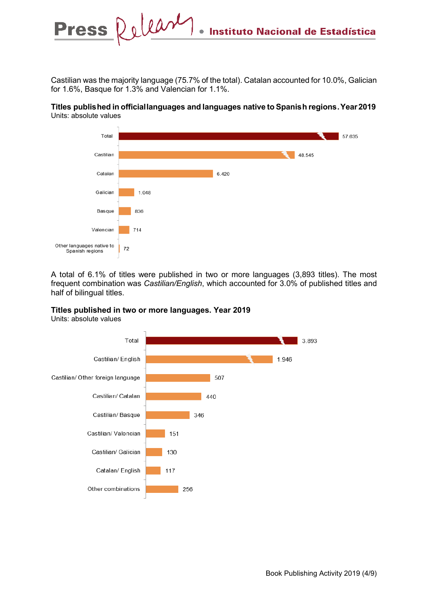Castilian was the majority language (75.7% of the total). Catalan accounted for 10.0%, Galician for 1.6%, Basque for 1.3% and Valencian for 1.1%.

#### **Titles publis hed in official languages and languages native to Spanis h regions .Year 2019** Units: absolute values



A total of 6.1% of titles were published in two or more languages (3,893 titles). The most frequent combination was *Castilian/English*, which accounted for 3.0% of published titles and half of bilingual titles.

#### **Titles published in two or more languages. Year 2019**

Units: absolute values

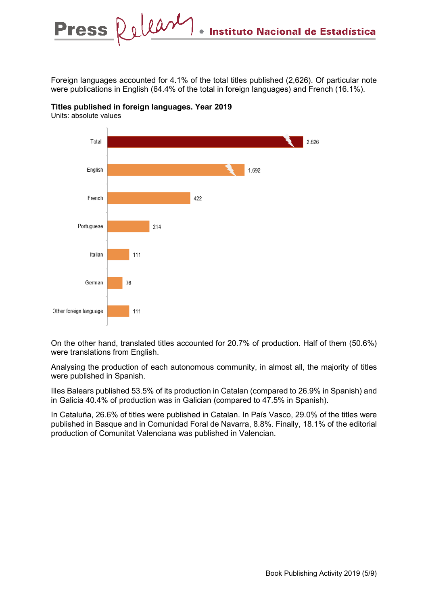Foreign languages accounted for 4.1% of the total titles published (2,626). Of particular note were publications in English (64.4% of the total in foreign languages) and French (16.1%).



**Titles published in foreign languages. Year 2019**

Units: absolute values

On the other hand, translated titles accounted for 20.7% of production. Half of them (50.6%) were translations from English.

Analysing the production of each autonomous community, in almost all, the majority of titles were published in Spanish.

Illes Balears published 53.5% of its production in Catalan (compared to 26.9% in Spanish) and in Galicia 40.4% of production was in Galician (compared to 47.5% in Spanish).

In Cataluña, 26.6% of titles were published in Catalan. In País Vasco, 29.0% of the titles were published in Basque and in Comunidad Foral de Navarra, 8.8%. Finally, 18.1% of the editorial production of Comunitat Valenciana was published in Valencian.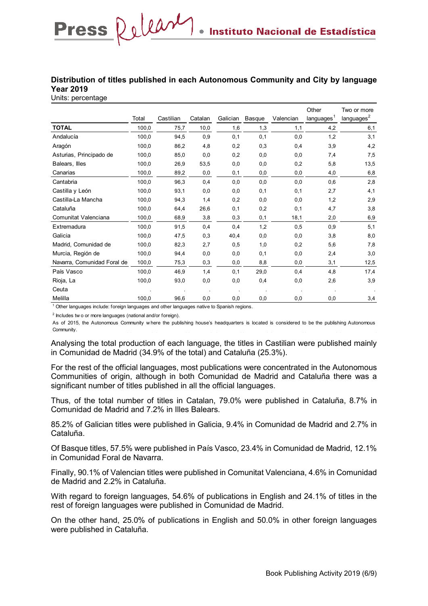### **Distribution of titles published in each Autonomous Community and City by language Year 2019**

Units: percentage

Press Release

|                             | Total | Castilian | Catalan | Galician | Basque | Valencian | Other<br>languages <sup>1</sup> | Two or more<br>languages <sup>2</sup> |
|-----------------------------|-------|-----------|---------|----------|--------|-----------|---------------------------------|---------------------------------------|
| <b>TOTAL</b>                | 100,0 | 75,7      | 10,0    | 1,6      | 1,3    | 1,1       | 4,2                             | 6,1                                   |
| Andalucía                   | 100.0 | 94,5      | 0,9     | 0,1      | 0,1    | 0,0       | 1,2                             | 3,1                                   |
|                             |       |           |         |          |        |           |                                 |                                       |
| Aragón                      | 100,0 | 86,2      | 4,8     | 0,2      | 0,3    | 0,4       | 3,9                             | 4,2                                   |
| Asturias, Principado de     | 100,0 | 85,0      | 0,0     | 0,2      | 0,0    | 0,0       | 7,4                             | 7,5                                   |
| Balears, Illes              | 100,0 | 26,9      | 53,5    | 0,0      | 0,0    | 0,2       | 5,8                             | 13,5                                  |
| Canarias                    | 100,0 | 89,2      | 0,0     | 0,1      | 0,0    | 0,0       | 4,0                             | 6,8                                   |
| Cantabria                   | 100,0 | 96,3      | 0,4     | 0,0      | 0,0    | 0,0       | 0,6                             | 2,8                                   |
| Castilla y León             | 100,0 | 93,1      | 0,0     | 0,0      | 0,1    | 0,1       | 2,7                             | 4,1                                   |
| Castilla-La Mancha          | 100,0 | 94,3      | 1,4     | 0,2      | 0,0    | 0,0       | 1,2                             | 2,9                                   |
| Cataluña                    | 100,0 | 64,4      | 26,6    | 0,1      | 0,2    | 0,1       | 4,7                             | 3,8                                   |
| Comunitat Valenciana        | 100,0 | 68,9      | 3,8     | 0,3      | 0,1    | 18,1      | 2,0                             | 6,9                                   |
| Extremadura                 | 100,0 | 91,5      | 0,4     | 0,4      | 1,2    | 0,5       | 0,9                             | 5,1                                   |
| Galicia                     | 100,0 | 47,5      | 0,3     | 40,4     | 0,0    | 0,0       | 3,8                             | 8,0                                   |
| Madrid, Comunidad de        | 100,0 | 82,3      | 2,7     | 0,5      | 1,0    | 0,2       | 5,6                             | 7,8                                   |
| Murcia, Región de           | 100,0 | 94,4      | 0,0     | 0,0      | 0,1    | 0,0       | 2,4                             | 3,0                                   |
| Navarra, Comunidad Foral de | 100,0 | 75,3      | 0,3     | 0,0      | 8,8    | 0,0       | 3,1                             | 12,5                                  |
| País Vasco                  | 100,0 | 46,9      | 1,4     | 0,1      | 29,0   | 0,4       | 4,8                             | 17,4                                  |
| Rioja, La                   | 100,0 | 93,0      | 0,0     | 0,0      | 0,4    | 0,0       | 2,6                             | 3,9                                   |
| Ceuta                       |       |           |         |          |        |           |                                 |                                       |
| Melilla                     | 100,0 | 96,6      | 0,0     | 0,0      | 0,0    | 0,0       | 0,0                             | 3,4                                   |

 $1$  Other languages include: foreign languages and other languages native to Spanish regions.

 $2$  Includes tw o or more languages (national and/or foreign).

As of 2015, the Autonomous Community w here the publishing house's headquarters is located is considered to be the publishing Autonomous Community.

Analysing the total production of each language, the titles in Castilian were published mainly in Comunidad de Madrid (34.9% of the total) and Cataluña (25.3%).

For the rest of the official languages, most publications were concentrated in the Autonomous Communities of origin, although in both Comunidad de Madrid and Cataluña there was a significant number of titles published in all the official languages.

Thus, of the total number of titles in Catalan, 79.0% were published in Cataluña, 8.7% in Comunidad de Madrid and 7.2% in Illes Balears.

85.2% of Galician titles were published in Galicia, 9.4% in Comunidad de Madrid and 2.7% in Cataluña.

Of Basque titles, 57.5% were published in País Vasco, 23.4% in Comunidad de Madrid, 12.1% in Comunidad Foral de Navarra.

Finally, 90.1% of Valencian titles were published in Comunitat Valenciana, 4.6% in Comunidad de Madrid and 2.2% in Cataluña.

With regard to foreign languages, 54.6% of publications in English and 24.1% of titles in the rest of foreign languages were published in Comunidad de Madrid.

On the other hand, 25.0% of publications in English and 50.0% in other foreign languages were published in Cataluña.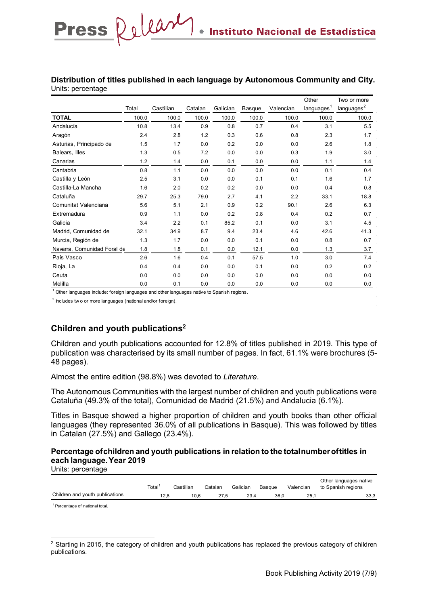#### **Distribution of titles published in each language by Autonomous Community and City.**  Units: percentage

|                             |       |           |         |          |        |           | Other                  | Two or more            |
|-----------------------------|-------|-----------|---------|----------|--------|-----------|------------------------|------------------------|
|                             | Total | Castilian | Catalan | Galician | Basque | Valencian | languages <sup>1</sup> | languages <sup>2</sup> |
| <b>TOTAL</b>                | 100.0 | 100.0     | 100.0   | 100.0    | 100.0  | 100.0     | 100.0                  | 100.0                  |
| Andalucía                   | 10.8  | 13.4      | 0.9     | 0.8      | 0.7    | 0.4       | 3.1                    | 5.5                    |
| Aragón                      | 2.4   | 2.8       | 1.2     | 0.3      | 0.6    | 0.8       | 2.3                    | 1.7                    |
| Asturias, Principado de     | 1.5   | 1.7       | 0.0     | 0.2      | 0.0    | 0.0       | 2.6                    | 1.8                    |
| Balears, Illes              | 1.3   | 0.5       | 7.2     | 0.0      | 0.0    | 0.3       | 1.9                    | 3.0                    |
| Canarias                    | 1.2   | 1.4       | 0.0     | 0.1      | 0.0    | 0.0       | 1.1                    | 1.4                    |
| Cantabria                   | 0.8   | 1.1       | 0.0     | 0.0      | 0.0    | 0.0       | 0.1                    | 0.4                    |
| Castilla y León             | 2.5   | 3.1       | 0.0     | 0.0      | 0.1    | 0.1       | 1.6                    | 1.7                    |
| Castilla-La Mancha          | 1.6   | 2.0       | 0.2     | 0.2      | 0.0    | 0.0       | 0.4                    | 0.8                    |
| Cataluña                    | 29.7  | 25.3      | 79.0    | 2.7      | 4.1    | 2.2       | 33.1                   | 18.8                   |
| Comunitat Valenciana        | 5.6   | 5.1       | 2.1     | 0.9      | 0.2    | 90.1      | 2.6                    | 6.3                    |
| Extremadura                 | 0.9   | 1.1       | 0.0     | 0.2      | 0.8    | 0.4       | 0.2                    | 0.7                    |
| Galicia                     | 3.4   | 2.2       | 0.1     | 85.2     | 0.1    | 0.0       | 3.1                    | 4.5                    |
| Madrid, Comunidad de        | 32.1  | 34.9      | 8.7     | 9.4      | 23.4   | 4.6       | 42.6                   | 41.3                   |
| Murcia, Región de           | 1.3   | 1.7       | 0.0     | 0.0      | 0.1    | 0.0       | 0.8                    | 0.7                    |
| Navarra, Comunidad Foral de | 1.8   | 1.8       | 0.1     | 0.0      | 12.1   | 0.0       | 1.3                    | 3.7                    |
| País Vasco                  | 2.6   | 1.6       | 0.4     | 0.1      | 57.5   | 1.0       | 3.0                    | 7.4                    |
| Rioja, La                   | 0.4   | 0.4       | 0.0     | 0.0      | 0.1    | 0.0       | 0.2                    | 0.2                    |
| Ceuta                       | 0.0   | 0.0       | 0.0     | 0.0      | 0.0    | 0.0       | 0.0                    | 0.0                    |
| Melilla                     | 0.0   | 0.1       | 0.0     | 0.0      | 0.0    | 0.0       | 0.0                    | 0.0                    |

 $1$  Other languages include: foreign languages and other languages native to Spanish regions.

 $2$  Includes tw o or more languages (national and/or foreign).

Press Release

# **Children and youth publications<sup>2</sup>**

Children and youth publications accounted for 12.8% of titles published in 2019. This type of publication was characterised by its small number of pages. In fact, 61.1% were brochures (5- 48 pages).

Almost the entire edition (98.8%) was devoted to *Literature*.

The Autonomous Communities with the largest number of children and youth publications were Cataluña (49.3% of the total), Comunidad de Madrid (21.5%) and Andalucia (6.1%).

Titles in Basque showed a higher proportion of children and youth books than other official languages (they represented 36.0% of all publications in Basque). This was followed by titles in Catalan (27.5%) and Gallego (23.4%).

### **Percentage of children and youth publications in relation to the total number of titles in each language. Year 2019**

Units: percentage

|                                 | Total <sup>1</sup> | Castilian | Catalan | Galician | Basque | Valencian | Other languages native<br>to Spanish regions |
|---------------------------------|--------------------|-----------|---------|----------|--------|-----------|----------------------------------------------|
| Children and youth publications | 12.8               | 10.6      | 27.5    | 23.4     | 36.0   | 25.1      | 33,3                                         |
| Descented of peticant total     |                    |           |         |          |        |           |                                              |

<sup>1</sup> rcentage of national tota

<sup>&</sup>lt;sup>2</sup> Starting in 2015, the category of children and youth publications has replaced the previous category of children publications.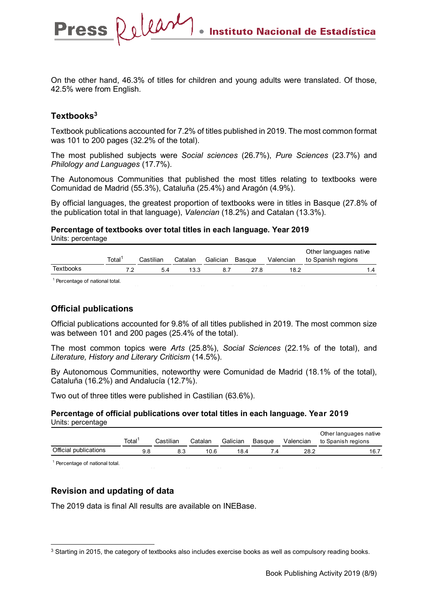On the other hand, 46.3% of titles for children and young adults were translated. Of those, 42.5% were from English.

### **Textbooks3**

Press Release

Textbook publications accounted for 7.2% of titles published in 2019. The most common format was 101 to 200 pages (32.2% of the total).

The most published subjects were *Social sciences* (26.7%), *Pure Sciences* (23.7%) and *Philology and Languages* (17.7%).

The Autonomous Communities that published the most titles relating to textbooks were Comunidad de Madrid (55.3%), Cataluña (25.4%) and Aragón (4.9%).

By official languages, the greatest proportion of textbooks were in titles in Basque (27.8% of the publication total in that language), *Valencian* (18.2%) and Catalan (13.3%).

**Percentage of textbooks over total titles in each language. Year 2019** Units: percentage

|           | Total <sup>1</sup> | Castilian | Catalan | Galician Basque |      | Valencian | Other languages native<br>to Spanish regions |
|-----------|--------------------|-----------|---------|-----------------|------|-----------|----------------------------------------------|
| Textbooks | 72                 |           | 13.3    |                 | 27.8 | 18.2      | l .4                                         |
|           |                    |           |         |                 |      |           |                                              |

<sup>1</sup> Percentage of national total.

#### **Official publications**

Official publications accounted for 9.8% of all titles published in 2019. The most common size was between 101 and 200 pages (25.4% of the total).

The most common topics were *Arts* (25.8%), *Social Sciences* (22.1% of the total), and *Literature, History and Literary Criticism* (14.5%).

By Autonomous Communities, noteworthy were Comunidad de Madrid (18.1% of the total), Cataluña (16.2%) and Andalucía (12.7%).

Two out of three titles were published in Castilian (63.6%).

**Percentage of official publications over total titles in each language. Year 2019**  Units: percentage

|                       | Total | Castilian | Catalan | Galician | Basque | Valencian | Other languages native<br>to Spanish regions |
|-----------------------|-------|-----------|---------|----------|--------|-----------|----------------------------------------------|
| Official publications |       |           | 10.6    | 18.4     |        | 28.2      | 16.7                                         |

<sup>1</sup> Percentage of national total.

# **Revision and updating of data**

The 2019 data is final All results are available on INEBase.

<sup>&</sup>lt;sup>3</sup> Starting in 2015, the category of textbooks also includes exercise books as well as compulsory reading books.